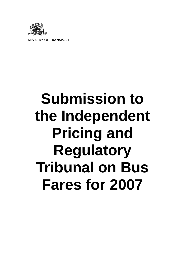

**MINISTRY OF TRANSPORT** 

# **Submission to the Independent Pricing and Regulatory Tribunal on Bus Fares for 2007**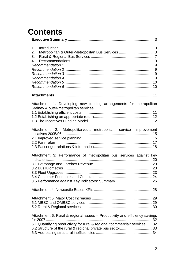# **Contents**

| 1.<br>Metropolitan & Outer-Metropolitan Bus Services 3<br>2.                            |  |
|-----------------------------------------------------------------------------------------|--|
| 3.                                                                                      |  |
| 4.                                                                                      |  |
|                                                                                         |  |
|                                                                                         |  |
|                                                                                         |  |
|                                                                                         |  |
|                                                                                         |  |
|                                                                                         |  |
| Attachment 1: Developing new funding arrangements for metropolitan                      |  |
|                                                                                         |  |
|                                                                                         |  |
|                                                                                         |  |
|                                                                                         |  |
| Attachment 2: Metropolitan/outer-metropolitan service improvement                       |  |
|                                                                                         |  |
|                                                                                         |  |
|                                                                                         |  |
| Attachment 3: Performance of metropolitan bus services against key                      |  |
|                                                                                         |  |
|                                                                                         |  |
|                                                                                         |  |
|                                                                                         |  |
|                                                                                         |  |
|                                                                                         |  |
|                                                                                         |  |
|                                                                                         |  |
|                                                                                         |  |
| Attachment 6: Rural & regional issues - Productivity and efficiency savings<br>for 2007 |  |
| 6.1 Quantifying productivity for rural & regional "commercial" services  .32            |  |
|                                                                                         |  |
|                                                                                         |  |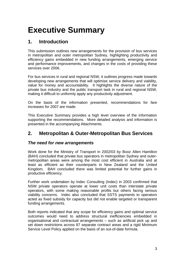# **Executive Summary**

# **1. Introduction**

This submission outlines new arrangements for the provision of bus services in metropolitan and outer metropolitan Sydney, highlighting productivity and efficiency gains embedded in new funding arrangements, emerging service and performance improvements, and changes in the costs of providing these services over 2006.

For bus services in rural and regional NSW, it outlines progress made towards developing new arrangements that will optimise service delivery and viability, value for money and accountability. It highlights the diverse nature of the private bus industry and the public transport task in rural and regional NSW, making it difficult to uniformly apply any productivity adjustment.

On the basis of the information presented, recommendations for fare increases for 2007 are made.

This Executive Summary provides a high level overview of the information supporting the recommendations. More detailed analysis and information is presented in the accompanying Attachments.

# **2. Metropolitan & Outer-Metropolitan Bus Services**

#### *The need for new arrangements*

Work done for the Ministry of Transport in 2002/03 by Booz Allen Hamilton (BAH) concluded that private bus operators in metropolitan Sydney and outermetropolitan areas were among the most cost efficient in Australia and at least as efficient as their counterparts in New Zealand and the United Kingdom. BAH concluded there was limited potential for further gains in productive efficiency.

Further work undertaken by Indec Consulting (Indec) in 2003 confirmed that NSW private operators operate at lower unit costs than interstate private operators, with some making reasonable profits but others facing serious viability concerns. Indec also concluded that SSTS payments to operators acted as fixed subsidy for capacity but did not enable targeted or transparent funding arrangements.

Both reports indicated that any scope for efficiency gains and optimal service outcomes would need to address structural inefficiencies embedded in organisational and contractual arrangements – such as artificial pick up and set down restrictions across 87 separate contract areas and a rigid Minimum Service Level Policy applied on the basis of an out-of-date formula.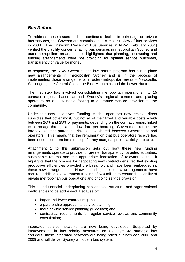#### *Bus Reform*

To address these issues and the continued decline in patronage on private bus services, the Government commissioned a major review of bus services in 2003. The Unsworth Review of Bus Services in NSW (February 2004) verified the viability concerns facing bus services in metropolitan Sydney and outer-metropolitan areas. It also highlighted that planning, contracting and funding arrangements were not providing for optimal service outcomes, transparency or value for money.

In response, the NSW Government's bus reform program has put in place new arrangements in metropolitan Sydney and is in the process of implementing those arrangements in outer-metropolitan areas – Newcastle, Wollongong, the Central Coast, the Blue Mountains and the Lower Hunter.

The first step has involved consolidating metropolitan operations into 15 contract regions based around Sydney's regional centres and placing operators on a sustainable footing to guarantee service provision to the community.

Under the new Incentives Funding Model, operators now receive direct subsidies that cover most, but not all of their fixed and variable costs – with between 20% and 25% of payments, depending on the contract region, linked to patronage through a 'shadow' fare per boarding. Government retains the farebox, so that patronage risk is now shared between Government and operators. This means that the remuneration that bus operators receive has been decoupled from fares (except for any marginal price elasticity impacts).

Attachment 1 to this submission sets out how these new funding arrangements operate to provide for greater transparency, targeted subsidies, sustainable returns and the appropriate indexation of relevant costs. It highlights that the process for negotiating new contracts ensured that existing productive efficiencies provided the basis for, and have been embedded in, these new arrangements. Notwithstanding, these new arrangements have required additional Government funding of \$70 million to ensure the viability of private metropolitan bus operations and ongoing service provision.

This sound financial underpinning has enabled structural and organisational inefficiencies to be addressed. Because of:

- larger and fewer contract regions;
- a partnership approach to service planning;
- more flexible service planning guidelines; and
- contractual requirements for regular service reviews and community consultation;

integrated service networks are now being developed. Supported by improvements in bus priority measures on Sydney's 43 strategic bus corridors, these integrated networks are being rolled out between 2006 and 2009 and will deliver Sydney a modern bus system.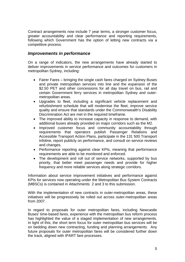Contract arrangements now include 7 year terms, a stronger customer focus, greater accountability and clear performance and reporting requirements, following which Government has the option of letting new contracts via a competitive process.

#### *Improvements in performance*

On a range of indicators, the new arrangements have already started to deliver improvements in service performance and outcomes for customers in metropolitan Sydney, including:

- Fairer Fares bringing the single cash fares charged on Sydney Buses and private metropolitan services into line and the expansion of the \$2.50 PET and other concessions for all day travel on bus, rail and certain Government ferry services in metropolitan Sydney and outermetropolitan areas.
- Upgrades to fleet, including a significant vehicle replacement and refurbishment schedule that will modernise the fleet, improve service quality and ensure that standards under the Commonwealth's Disability Discrimination Act are met in the required timeframe.
- The improved ability to increase capacity in response to demand, with additional buses already provided on major corridors such as the M2.
- Improved customer focus and community accountability through requirements that operators publish Passenger Relations and Accessible Transport Action Plans, participate in the 131 500 Transport Infoline, report publicly on performance, and consult on service reviews and changes.
- Performance reporting against clear KPIs, meaning that performance requirements are able to be monitored and enforced.
- The development and roll out of service networks, supported by bus priority, that better meet passenger needs and provide for higher frequency and more reliable services along strategic corridors.

Information about service improvement initiatives and performance against KPIs for services now operating under the Metropolitan Bus System Contracts (MBSCs) is contained in Attachments 2 and 3 to this submission.

With the implementation of new contracts in outer-metropolitan areas, these initiatives will be progressively be rolled out across outer-metropolitan areas from 2007.

In regard to proposals for outer metropolitan fares, including Newcastle Buses' time-based fares, experience with the metropolitan bus reform process has highlighted the value of a staged implementation of new arrangements. In light of this, the short term focus for outer metropolitan bus services will be on bedding down new contracting, funding and planning arrangements. Any future proposals for outer metropolitan fares will be considered further down the track, aligned with IPART fare processes.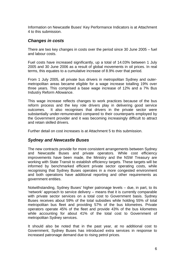Information on Newcastle Buses' Key Performance Indicators is at Attachment 4 to this submission.

#### *Changes in costs*

There are two key changes in costs over the period since 30 June 2005 – fuel and labour costs.

Fuel costs have increased significantly, up a total of 14.03% between 1 July 2005 and 30 June 2006 as a result of global movements in oil prices. In real terms, this equates to a cumulative increase of 8.9% over that period.

From 1 July 2005, all private bus drivers in metropolitan Sydney and outermetropolitan areas became eligible for a wage increase totalling 19% over three years. This comprised a base wage increase of 12% and a 7% Bus Industry Reform Allowance.

This wage increase reflects changes to work practices because of the bus reform process and the key role drivers play in delivering good service outcomes. It also recognises that drivers in the private sector were substantially under-remunerated compared to their counterparts employed by the Government provider and it was becoming increasingly difficult to attract and retain skilled drivers.

Further detail on cost increases is at Attachment 5 to this submission.

#### *Sydney and Newcastle Buses*

The new contracts provide for more consistent arrangements between Sydney and Newcastle Buses and private operators. While cost efficiency improvements have been made, the Ministry and the NSW Treasury are working with State Transit to establish efficiency targets. These targets will be informed by benchmarked efficient private sector operating costs, while recognising that Sydney Buses operates in a more congested environment and both operations have additional reporting and other requirements as government entities.

Notwithstanding, Sydney Buses' higher patronage levels – due, in part, to its 'network' approach to service delivery – means that it is currently comparable with private sector services on a total cost to Government basis. Sydney Buses receives about 59% of the total subsidies while holding 55% of total metropolitan bus fleet and providing 57% of the bus kilometres. Private operators operate 45% of the fleet and provide 43% of the bus kilometres while accounting for about 41% of the total cost to Government of metropolitan Sydney services.

It should also be noted that in the past year, at no additional cost to Government, Sydney Buses has introduced extra services in response to increased patronage demand due to rising petrol prices.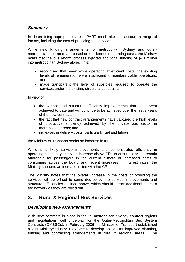#### *Summary*

In determining appropriate fares, IPART must take into account a range of factors, including the cost of providing the services.

While new funding arrangements for metropolitan Sydney and outermetropolitan operators are based on efficient unit operating costs, the Ministry notes that the bus reform process injected additional funding of \$70 million into metropolitan Sydney alone. This:

- recognised that, even while operating at efficient costs, the existing levels of remuneration were insufficient to maintain viable operations; and
- made transparent the level of subsidies required to operate the services under the existing structural constraints.

In view of:

- the service and structural efficiency improvements that have been achieved to date and will continue to be achieved over the first 7 years of the new contracts;
- the fact that new contract arrangements have captured the high levels of productive efficiency achieved by the private bus sector in metropolitan areas; and
- increases in delivery costs, particularly fuel and labour;

the Ministry of Transport seeks an increase in fares.

While it is likely service improvements and demonstrated efficiency in operating costs may justify an increase above CPI, to ensure services remain affordable for passengers in the current climate of increased costs to consumers across the board and recent increases in interest rates, the Ministry supports an increase in line with the CPI.

The Ministry notes that the overall increase in the costs of providing the services will be off-set to some degree by the service improvements and structural efficiencies outlined above, which should attract additional users to the network as they are rolled out.

# **3. Rural & Regional Bus Services**

#### *Developing new arrangements*

With new contracts in place in the 15 metropolitan Sydney contract regions and negotiations well underway for the Outer-Metropolitan Bus System Contracts (OMBSCs), in February 2006 the Minster for Transport established a joint Ministry/industry Taskforce to develop options for improved planning, funding and contracting arrangements in rural & regional areas. The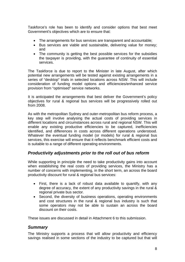Taskforce's role has been to identify and consider options that best meet Government's objectives which are to ensure that:

- The arrangements for bus services are transparent and accountable;
- Bus services are viable and sustainable, delivering value for money; and
- The community is getting the best possible services for the subsidies the taxpayer is providing, with the guarantee of continuity of essential services.

The Taskforce is due to report to the Minister in late August, after which potential new arrangements will be tested against existing arrangements in a series of "desktop" trials in selected locations across NSW. This will include consideration of funding model options and efficiencies/enhanced service provision from "optimised" service networks.

It is anticipated the arrangements that best deliver the Government's policy objectives for rural & regional bus services will be progressively rolled out from 2008.

As with the metropolitan Sydney and outer-metropolitan bus reform process, a key step will involve analysing the actual costs of providing services in different locations and circumstances across rural and regional NSW. This will enable any existing productive efficiencies to be captured, inefficiencies identified, and differences in costs across different operations understood. Whatever the eventual funding model (or models) for rural & regional bus services, this exercise will ensure that it reflects benchmark efficient costs and is suitable to a range of different operating environments.

#### *Productivity adjustments prior to the roll out of bus reform*

While supporting in principle the need to take productivity gains into account when establishing the real costs of providing services, the Ministry has a number of concerns with implementing, in the short term, an across the board productivity discount for rural & regional bus services:

- First, there is a lack of robust data available to quantify, with any degree of accuracy, the extent of any productivity savings in the rural & regional private bus sector.
- Second, the diversity of business operations, operating environments and cost structures in the rural & regional bus industry is such that some operators may not be able to sustain an across the board discount on their costs.

These issues are discussed in detail in Attachment 6 to this submission.

#### *Summary*

The Ministry supports a process that will allow productivity and efficiency savings realised in some sections of the industry to be captured but that will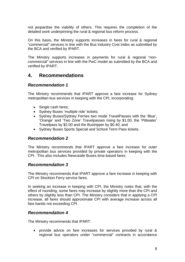not jeopardise the viability of others. This requires the completion of the detailed work underpinning the rural & regional bus reform process.

On this basis, the Ministry supports increases in fares for rural & regional "commercial" services in line with the Bus Industry Cost Index as submitted by the BCA and verified by IPART.

The Ministry supports increases in payments for rural & regional "noncommercial" services in line with the PwC model as submitted by the BCA and verified by IPART.

# **4. Recommendations**

#### *Recommendation 1*

The Ministry recommends that IPART approve a fare increase for Sydney metropolitan bus services in keeping with the CPI, incorporating:

- Single cash fares;
- Sydney Buses 'multiple ride' tickets;
- Sydney Buses/Sydney Ferries two mode TravelPasses with the 'Blue', 'Orange' and 'Two Zone' Travelpasses rising by \$1.00, the 'Pittwater' Travelpass by \$2.00 and the Bustripper by \$0.40; and
- Sydney Buses Sports Special and School Term Pass tickets.

#### *Recommendation 2*

The Ministry recommends that IPART approve a fare increase for outer metropolitan bus services provided by private operators in keeping with the CPI. This also includes Newcastle Buses time-based fares.

#### *Recommendation 3*

The Ministry recommends that IPART approve a fare increase in keeping with CPI on Stockton Ferry service fares.

In seeking an increase in keeping with CPI, the Ministry notes that, with the effect of rounding, some fares may increase by slightly more than the CPI and others by slightly less than CPI. The Ministry considers that in applying a CPI increase, all fares should approximate CPI with average increase across all fare bands not exceeding CPI.

#### *Recommendation 4*

The Ministry recommends that IPART:

• provide advice on fare increases for services provided by rural & regional bus operators under "commercial" contracts in accordance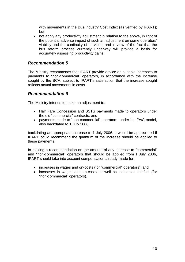with movements in the Bus Industry Cost Index (as verified by IPART); but

• not apply any productivity adjustment in relation to the above, in light of the potential adverse impact of such an adjustment on some operators' viability and the continuity of services, and in view of the fact that the bus reform process currently underway will provide a basis for accurately assessing productivity gains.

#### *Recommendation 5*

The Ministry recommends that IPART provide advice on suitable increases to payments to "non-commercial" operators, in accordance with the increase sought by the BCA, subject to IPART's satisfaction that the increase sought reflects actual movements in costs.

#### *Recommendation 6*

The Ministry intends to make an adjustment to:

- Half Fare Concession and SSTS payments made to operators under the old "commercial" contracts; and
- payments made to "non-commercial" operators under the PwC model, also backdated to 1 July 2006;

backdating an appropriate increase to 1 July 2006. It would be appreciated if IPART could recommend the quantum of the increase should be applied to these payments.

In making a recommendation on the amount of any increase to "commercial" and "non-commercial" operators that should be applied from I July 2006, IPART should take into account compensation already made for:

- increases in wages and on-costs (for "commercial" operators); and
- increases in wages and on-costs as well as indexation on fuel (for "non-commercial" operators).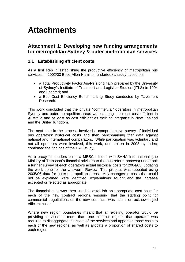# **Attachments**

### **Attachment 1: Developing new funding arrangements for metropolitan Sydney & outer-metropolitan services**

#### **1.1 Establishing efficient costs**

As a first step in establishing the productive efficiency of metropolitan bus services, in 2002/03 Booz Allen Hamilton undertook a study based on:

- a Total Productivity Factor Analysis originally prepared by the University of Sydney's Institute of Transport and Logistics Studies (ITLS) in 1994 and updated; and
- a Bus Cost Efficiency Benchmarking Study conducted by Taverners Research.

This work concluded that the private "commercial" operators in metropolitan Sydney and outer-metropolitan areas were among the most cost efficient in Australia and at least as cost efficient as their counterparts in New Zealand and the United Kingdom.

The next step in the process involved a comprehensive survey of individual bus operators' historical costs and then benchmarking that data against national and international comparators. While participation was voluntary and not all operators were involved, this work, undertaken in 2003 by Indec, confirmed the findings of the BAH study.

As a proxy for tenders on new MBSCs, Indec with SAHA International (the Ministry of Transport's financial advisers to the bus reform process) undertook a further survey of each operator's actual historical costs for 2004/05, updating the work done for the Unsworth Review. This process was repeated using 2005/06 data for outer-metropolitan areas. Any changes in costs that could not be explained were identified, explanations sought and the increase accepted or rejected as appropriate.

The financial data was then used to establish an appropriate cost base for each of the new contract regions, ensuring that the starting point for commercial negotiations on the new contracts was based on acknowledged efficient costs.

Where new region boundaries meant that an existing operator would be providing services in more than one contract region, that operator was required to disaggregate the costs of the services and apportion those costs to each of the new regions, as well as allocate a proportion of shared costs to each region.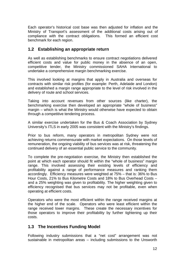Each operator's historical cost base was then adjusted for inflation and the Ministry of Transport's assessment of the additional costs arising out of compliance with the contract obligations. This formed an efficient cost benchmark for each region.

#### **1.2 Establishing an appropriate return**

As well as establishing benchmarks to ensure contract negotiations delivered efficient costs and value for public money in the absence of an open, competitive tender, the Ministry commissioned SAHA International to undertake a comprehensive margin benchmarking exercise.

This involved looking at margins that apply in Australia and overseas for contracts with similar risk profiles (for example: Perth, Adelaide and London) and established a margin range appropriate to the level of risk involved in the delivery of route and school services.

Taking into account revenues from other sources (like charter), the benchmarking exercise then developed an appropriate "whole of business" margin – which is what the Ministry would otherwise have expected to obtain through a competitive tendering process.

A similar exercise undertaken for the Bus & Coach Association by Sydney University's ITLS in early 2005 was consistent with the Ministry's findings.

Prior to bus reform, many operators in metropolitan Sydney were not achieving returns commensurate with market expectations. On those levels of remuneration, the ongoing viability of bus services was at risk, threatening the continued delivery of an essential public service to the community.

To complete the pre-negotiation exercise, the Ministry then established the point at which each operator should fit within the "whole of business" margin range. This involved assessing their existing levels of efficiency and profitability against a range of performance measures and ranking them accordingly. Efficiency measures were weighted at 75% – that is: 36% to Bus Hour Costs, 21% to Bus Kilometre Costs and 18% to Bus Overhead Costs – and a 25% weighting was given to profitability. The higher weighting given to efficiency recognised that bus services may not be profitable, even when operating at efficient costs.

Operators who were the most efficient within the range received margins at the higher end of the scale. Operators who were least efficient within the range received lower margins. These create the necessary incentives for those operators to improve their profitability by further tightening up their costs.

#### **1.3 The Incentives Funding Model**

Following industry submissions that a "net cost" arrangement was not sustainable in metropolitan areas – including submissions to the Unsworth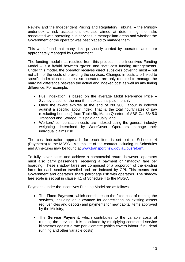Review and the Independent Pricing and Regulatory Tribunal – the Ministry undertook a risk assessment exercise aimed at determining the risks associated with operating bus services in metropolitan areas and whether the Government or the operator was best placed to manage them.

This work found that many risks previously carried by operators are more appropriately managed by Government.

The funding model that resulted from this process – the Incentives Funding Model – is a hybrid between "gross" and "net" cost funding arrangements. Under this model, the operator receives direct subsidies covering most – but not all – of the costs of providing the services. Changes in costs are linked to specific indexation measures, so operators are only required to manage the marginal difference between the actual and indexed cost as well as any timing difference. For example:

- Fuel indexation is based on the average Mobil Reference Price Sydney diesel for the month. Indexation is paid monthly;
- Once the award expires at the end of 2007/08, labour is indexed against a specific labour index. That is, the total hourly rates of pay (excluding bonuses) from Table 5b, March Quarter, of ABS Cat 6345.0 Transport and Storage. It is paid annually; and
- Workers' compensation costs are indexed using the general industry weighting determined by WorkCover. Operators manage their individual claims risk.

The cost indexation approach for each item is set out in Schedule 4 (Payments) to the MBSC. A template of the contract including its Schedules and Annexures may be found at www.transport.nsw.gov.au/busreform.

To fully cover costs and achieve a commercial return, however, operators must also carry passengers, receiving a payment or "shadow" fare per boarding. These shadow fares are comprised of a proportion of the existing fares for each section travelled and are indexed by CPI. This means that Government and operators share patronage risk with operators. The shadow fare scale is set out in clause 4.1 of Schedule 4 to the MBSC.

Payments under the Incentives Funding Model are as follows:

- The **Fixed Payment**, which contributes to the fixed cost of running the services, including an allowance for depreciation on existing assets (eg: vehicles and depots) and payments for new capital items approved by the Ministry;
- The **Service Payment**, which contributes to the variable costs of running the services. It is calculated by multiplying contracted service kilometres against a rate per kilometre (which covers labour, fuel, dead running and other variable costs);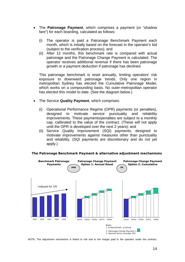- The **Patronage Payment**, which comprises a payment (or "shadow fare") for each boarding, calculated as follows:
	- (i) The operator is paid a Patronage Benchmark Payment each month, which is initially based on the forecast in the operator's bid (subject to the verification process); and
	- (ii) After 12 months, this benchmark rate is compared with actual patronage and the Patronage Change Payment is calculated. The operator receives additional revenue if there has been patronage growth or a payment deduction if patronage has declined.

This patronage benchmark is reset annually, limiting operators' risk exposure to downward patronage trends. Only one region in metropolitan Sydney has elected the Cumulative Patronage Model, which works on a compounding basis. No outer-metropolitan operator has elected this model to date. (See the diagram below.)

- The Service **Quality Payment**, which comprises:
	- (i) Operational Performance Regime (OPR) payments (or penalties), designed to motivate service punctuality and reliability improvements. These payments/penalties are subject to a monthly cap, calibrated to the value of the contract. (These will not apply until the OPR is developed over the next 2 years); and
	- (ii) Service Quality Improvement (SQI) payments, designed to motivate improvements against measures other than punctuality and reliability. (SQI payments are discretionary and do not yet apply.)



#### **The Patronage Benchmark Payment & alternative adjustment mechanisms**

NOTE: The adjustment mechanism is linked to risk and to the margin paid to the operator under the contract.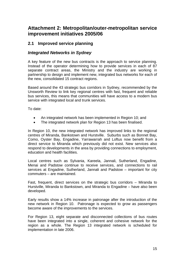# **Attachment 2: Metropolitan/outer-metropolitan service improvement initiatives 2005/06**

#### **2.1 Improved service planning**

#### *Integrated Networks in Sydney*

A key feature of the new bus contracts is the approach to service planning. Instead of the operator determining how to provide services in each of 87 separate contract areas, the Ministry and the industry are working in partnership to design and implement new, integrated bus networks for each of the new, consolidated 15 contract regions.

Based around the 43 strategic bus corridors in Sydney, recommended by the Unsworth Review to link key regional centres with fast, frequent and reliable bus services, this means that communities will have access to a modern bus service with integrated local and trunk services.

To date:

- An integrated network has been implemented in Region 10; and
- The integrated network plan for Region 13 has been finalised.

In Region 10, the new integrated network has improved links to the regional centres of Miranda, Bankstown and Hurstville. Suburbs such as Bonnet Bay, Como, Oyster Bay, Engadine, Yarrawarrah and Loftus now benefit from a direct service to Miranda which previously did not exist. New services also respond to developments in the area by providing connections to employment, education and health facilities.

Local centres such as Sylvania, Kareela, Jannali, Sutherland, Engadine, Menai and Padstow continue to receive services, and connections to rail services at Engadine, Sutherland, Jannali and Padstow – important for city commuters – are maintained.

Fast, frequent, direct services on the strategic bus corridors – Miranda to Hurstville, Miranda to Bankstown, and Miranda to Engadine – have also been developed.

Early results show a 14% increase in patronage after the introduction of the new network in Region 10. Patronage is expected to grow as passengers become aware of the improvements to the services.

For Region 13, eight separate and disconnected collections of bus routes have been integrated into a single, coherent and cohesive network for the region as a whole. The Region 13 integrated network is scheduled for implementation in late 2006.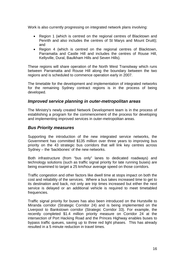Work is also currently progressing on integrated network plans involving:

- Region 1 (which is centred on the regional centres of Blacktown and Penrith and also includes the centres of St Marys and Mount Druitt); and
- Region 4 (which is centred on the regional centres of Blacktown, Parramatta and Castle Hill and includes the centres of Rouse Hill, Kellyville, Dural, Baulkham Hills and Seven Hills).

These regions will share operation of the North West Transitway which runs between Parramatta and Rouse Hill along the boundary between the two regions and is scheduled to commence operation early in 2007.

The timetable for the development and implementation of integrated networks for the remaining Sydney contract regions is in the process of being developed.

#### *Improved service planning in outer-metropolitan areas*

The Ministry's newly created Network Development team is in the process of establishing a program for the commencement of the process for developing and implementing improved services in outer-metropolitan areas.

#### *Bus Priority measures*

Supporting the introduction of the new integrated service networks, the Government has committed \$135 million over three years to improving bus priority on the 43 strategic bus corridors that will link key centres across Sydney – the 'backbones' of the new networks.

Both infrastructure (from "bus only" lanes to dedicated roadways) and technology solutions (such as traffic signal priority for late running buses) are being examined to target a 25 km/hour average speed on those corridors.

Traffic congestion and other factors like dwell time at stops impact on both the cost and reliability of the services. Where a bus takes increased time to get to its destination and back, not only are trip times increased but either the next service is delayed or an additional vehicle is required to meet timetabled frequencies.

Traffic signal priority for buses has also been introduced on the Hurstville to Miranda corridor (Strategic Corridor 24) and is being implemented on the Liverpool to Bankstown corridor (Strategic Corridor 33). For example, the recently completed \$1.4 million priority measure on Corridor 24 at the intersection of Port Hacking Road and the Princes Highway enables buses to bypass traffic queues, saving up to three red light phases. This has already resulted in a 5 minute reduction in travel times.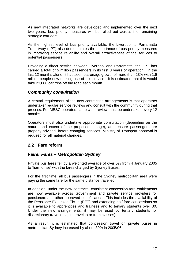As new integrated networks are developed and implemented over the next two years, bus priority measures will be rolled out across the remaining strategic corridors.

As the highest level of bus priority available, the Liverpool to Parramatta Transitway (LPT) also demonstrates the importance of bus priority measures in improving service reliability and overall attractiveness of the services to potential passengers.

Providing a direct service between Liverpool and Parramatta, the LPT has carried a total of 5 million passengers in its first 3 years of operation. In the last 12 months alone, it has seen patronage growth of more than 23% with 1.9 million people now making use of this service. It is estimated that this would take 23,000 car trips off the road each month.

#### *Community consultation*

A central requirement of the new contracting arrangements is that operators undertaker regular service reviews and consult with the community during that process. For MBSC operators, a network review must be undertaken every 12 months.

Operators must also undertake appropriate consultation (depending on the nature and extent of the proposed change), and ensure passengers are properly advised, before changing services. Ministry of Transport approval is required for all material changes.

#### **2.2 Fare reform**

#### *Fairer Fares – Metropolitan Sydney*

Private bus fares fell by a weighted average of over 5% from 4 January 2005 to 'harmonise' with the fares charged by Sydney Buses.

For the first time, all bus passengers in the Sydney metropolitan area were paying the same fare for the same distance travelled.

In addition, under the new contracts, consistent concession fare entitlements are now available across Government and private service providers for pensioners and other approved beneficiaries. This includes the availability of the Pensioner Excursion Ticket (PET) and extending half fare concessions so it is available to apprentices and trainees and to tertiary students over 30. Under the new arrangements, it may be used by tertiary students for discretionary travel (not just travel to or from classes).

As a result, it is estimated that concession travel on private buses in metropolitan Sydney increased by about 30% in 2005/06.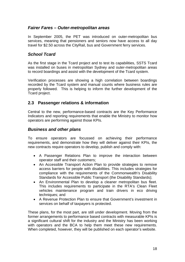#### *Fairer Fares – Outer-metropolitan areas*

In September 2005, the PET was introduced on outer-metropolitan bus services, meaning that pensioners and seniors now have access to all day travel for \$2.50 across the CityRail, bus and Government ferry services.

#### *School Tcard*

As the first stage in the Tcard project and to test its capabilities, SSTS Tcard was installed on buses in metropolitan Sydney and outer-metropolitan areas to record boardings and assist with the development of the Tcard system.

Verification processes are showing a high correlation between boardings recorded by the Tcard system and manual counts where business rules are properly followed. This is helping to inform the further development of the Tcard project.

#### **2.3 Passenger relations & information**

Central to the new, performance-based contracts are the Key Performance Indicators and reporting requirements that enable the Ministry to monitor how operators are performing against those KPIs.

#### *Business and other plans*

To ensure operators are focussed on achieving their performance requirements, and demonstrate how they will deliver against their KPIs, the new contracts require operators to develop, publish and comply with:

- A Passenger Relations Plan to improve the interaction between operator staff and their customers;
- An Accessible Transport Action Plan to provide strategies to remove access barriers for people with disabilities. This includes strategies for compliance with the requirements of the Commonwealth's Disability Standards for Accessible Public Transport (the Disability Standards);
- An Environmental Plan to develop a cleaner metropolitan bus fleet. This includes requirements to participate in the RTA's Clean Fleet vehicles maintenance program and train drivers in eco driving techniques; and
- A Revenue Protection Plan to ensure that Government's investment in services on behalf of taxpayers is protected.

These plans, for the most part, are still under development. Moving from the former arrangements to performance based contracts with measurable KPIs is a significant cultural shift for the industry and the Ministry has been working with operators and the BCA to help them meet these new requirements. When completed, however, they will be published on each operator's website.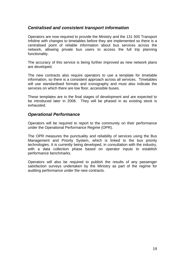#### *Centralised and consistent transport information*

Operators are now required to provide the Ministry and the 131 500 Transport Infoline with changes to timetables before they are implemented so there is a centralised point of reliable information about bus services across the network, allowing private bus users to access the full trip planning functionality.

The accuracy of this service is being further improved as new network plans are developed.

The new contracts also require operators to use a template for timetable information, so there is a consistent approach across all services. Timetables will use standardised formats and iconography and must also indicate the services on which there are low floor, accessible buses.

These templates are in the final stages of development and are expected to be introduced later in 2006. They will be phased in as existing stock is exhausted.

#### *Operational Performance*

Operators will be required to report to the community on their performance under the Operational Performance Regime (OPR).

The OPR measures the punctuality and reliability of services using the Bus Management and Priority System, which is linked to the bus priority technologies. It is currently being developed, in consultation with the industry, with a data collection phase based on operator inputs to establish performance benchmarks.

Operators will also be required to publish the results of any passenger satisfaction surveys undertaken by the Ministry as part of the regime for auditing performance under the new contracts.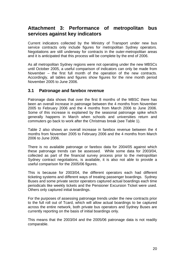# **Attachment 3: Performance of metropolitan bus services against key indicators**

Current indicators collected by the Ministry of Transport under new bus service contracts only include figures for metropolitan Sydney operators. Negotiations are still underway for contracts in the outer-metropolitan areas and it is anticipated that this process will be complete by the end of 2006.

As all metropolitan Sydney regions were not operating under the new MBSCs until October 2005, a useful comparison of indicators can only be made from November – the first full month of the operation of the new contracts. Accordingly, all tables and figures show figures for the nine month period November 2005 to June 2006.

#### **3.1 Patronage and farebox revenue**

Patronage data shows that over the first 8 months of the MBSC there has been an overall increase in patronage between the 4 months from November 2005 to February 2006 and the 4 months from March 2006 to June 2006. Some of this increase is explained by the seasonal patronage spike which generally happens in March when schools and universities return and commuters go back to work after the Christmas break (see Table 1).

Table 2 also shows an overall increase in farebox revenue between the 4 months from November 2005 to February 2006 and the 4 months from March 2006 to June 2006.

There is no available patronage or farebox data for 2004/05 against which these patronage trends can be assessed. While some data for 2003/04, collected as part of the financial survey process prior to the metropolitan Sydney contract negotiations, is available, it is also not able to provide a useful comparison for the 2005/06 figures.

This is because for 2003/04, the different operators each had different ticketing systems and different ways of treating passenger boardings. Sydney Buses and some private sector operators captured actual boardings each time periodicals like weekly tickets and the Pensioner Excursion Ticket were used. Others only captured initial boardings.

For the purposes of assessing patronage trends under the new contracts prior to the full roll out of Tcard, which will allow actual boardings to be captured across the entire network, both private bus operators and Sydney Buses are currently reporting on the basis of initial boardings only.

This means that the 2003/04 and the 2005/06 patronage data is not readily comparable.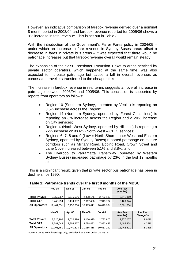However, an indicative comparison of farebox revenue derived over a nominal 8 month period in 2003/04 and farebox revenue reported for 2005/06 shows a 9% increase in total revenue. This is set out in Table 3.

With the introduction of the Government's Fairer Fares policy in 2004/05 under which an increase in fare revenue in Sydney Buses areas offset a decrease in fares in private bus areas – it was expected that there would be patronage increases but that farebox revenue overall would remain steady.

The expansion of the \$2.50 Pensioner Excursion Ticket to areas serviced by private sector operators, which happened at the same time, was also expected to increase patronage but cause a fall in overall revenues as concession travellers transferred to the cheaper ticket.

The increase in farebox revenue in real terms suggests an overall increase in patronage between 2003/04 and 2005/06. This conclusion is supported by reports from operators as follows:

- Region 10 (Southern Sydney, operated by Veolia) is reporting an 8.5% increase across the Region;
- Region 14 (Northern Sydney, operated by Forest Coachlines) is reporting an 8% increase across the Region and a 20% increase on City services;
- Region 4 (North West Sydney, operated by Hillsbus) is reporting a 22% increase on its M2 (North West – CBD) services;
- Regions 6, 7, 8 and 9 (Lower North Shore, Inner West and Eastern Sydney, operated by Sydney Buses) reported patronage on mature corridors such as Military Road, Epping Road, Crown Street and Lane Cove increased between 5.1% and 8.8%; and
- The Liverpool to Parramatta Transitway (operated by Western Sydney Buses) increased patronage by 23% in the last 12 months alone.

This is a significant result, given that private sector bus patronage has been in decline since 1990.

|                      | <b>Nov-05</b> | <b>Dec-05</b> | Jan-06     | Feb-06     | Ave Pax<br>$(4 \text{ mths})$ |
|----------------------|---------------|---------------|------------|------------|-------------------------------|
| <b>Total Private</b> | 2,958,357     | 2,775,556     | 2,498,145  | 2,733,180  | 2,741,310                     |
| <b>Total STA</b>     | 8.443.294     | 8,174,952     | 7,917,466  | 7,945,784  | 8,120,374                     |
| <b>All Operators</b> | 1.401.651     | 10,950,508    | 10,415,611 | 10,678,964 | 10,861,684                    |

**Table 1: Patronage trends over the first 8 months of the MBSC** 

|                      | Mar-06     | Apr-06     | $May-06$   | Jun-06     | Ave Pax<br>$(4 \text{ mths})$ | Ave Pax<br>Change % |
|----------------------|------------|------------|------------|------------|-------------------------------|---------------------|
| <b>Total Private</b> | 3,325,102  | 2,632,396  | 3,166,925  | 2,783,805  | 2,977,057                     | 8.60%               |
| <b>Total STA</b>     | 9.381.649  | 7.808.227  | 8.788.493  | 7.883.487  | 8.465.464                     | 4.25%               |
| <b>All Operators</b> | 12.706.751 | 10,440,623 | 11.955.418 | 10,667,292 | 11.442.521                    | 5.35%               |

NOTE: Counts initial boardings only, excludes free travel under the SSTS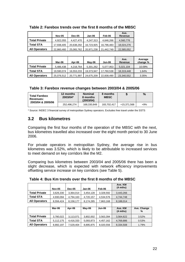|                      | <b>Nov-05</b> | <b>Dec-05</b> | Jan-06     | Feb-06     | Ave.<br>Revenue |
|----------------------|---------------|---------------|------------|------------|-----------------|
| <b>Total Private</b> | 4,922,055     | 4,427,470     | 4,247,313  | 4,646,266  | 4,560,776       |
| <b>Total STA</b>     | 17,938,405    | 20.638.292    | 16,723,925 | 16.796.483 | 18,024,276      |
| <b>All Operators</b> | 22,860,460    | 25,065,762    | 20.971.238 | 21.442.749 | 22,585,052      |

**Table 2: Farebox trends over the first 8 months of the MBSC** 

|                      | Mar-06     | Apr-06     | Mav-06     | Jun-06     | Ave.<br>Revenue | Average<br>change % |
|----------------------|------------|------------|------------|------------|-----------------|---------------------|
| <b>Total Private</b> | 5,486,438  | 4,218,764  | 5,301,262  | 5,077,953  | 5,021,104       | 10.09%              |
| <b>Total STA</b>     | 19,590,074 | 16,553,233 | 19,373,947 | 17,760,538 | 18.319.448      | 1.64%               |
| <b>All Operators</b> | 25,076,512 | 20,771,997 | 24,675,209 | 22,838,490 | 23,340,552      | 3.35%               |

**Table 3: Farebox revenue changes between 2003/04 & 2005/06** 

| <b>Total Farebox</b><br><b>Revenues:</b> | 12 months<br>2003/04* | <b>Nominal</b><br>8 months<br>(2003/04) | 8 months<br><b>MBSC</b> |             | %     |
|------------------------------------------|-----------------------|-----------------------------------------|-------------------------|-------------|-------|
| 2003/04 & 2005/06                        | 252.496.274           | 168.330.849                             | 183.702.417             | +15.371.568 | $+9%$ |

\* Source: INDEC 3 financial survey of metropolitan Sydney operators. Excludes free travel under the SSTS

# **3.2 Bus kilometres**

Comparing the first four months of the operation of the MBSC with the next, bus kilometres travelled also increased over the eight month period to 30 June 2006.

For private operators in metropolitan Sydney, the average rise in bus kilometres was 3.52%, which is likely to be attributable to increased services to meet demand on key corridors like the M2.

Comparing bus kilometres between 2003/04 and 2005/06 there has been a slight decrease, which is expected with network efficiency improvements offsetting service increase on key corridors (see Table 5).

|                      | <b>Nov-05</b> | <b>Dec-05</b> | Jan-06    | Feb-06    | Ave. KM<br>$(4 \text{ mths})$ |             |
|----------------------|---------------|---------------|-----------|-----------|-------------------------------|-------------|
| <b>Total Private</b> | 3,626,330     | 3.364.014     | 3,454,128 | 3,328,592 | 3.443.266                     |             |
| <b>Total STA</b>     | 4,930,094     | 4,794,163     | 4,720,157 | 4,534,576 | 4,744,748                     |             |
| <b>All Operators</b> | 8,556,424     | 8,158,177     | 8,174,285 | 7,863,168 | 8,188,014                     |             |
|                      |               |               |           |           |                               |             |
|                      | Mar-06        | Apr-06        | May-06    | Jun-06    | Ave. KM                       | Ave. Change |
|                      |               |               |           |           | $(4 \text{ mths})$            | ℅           |
| <b>Total Private</b> | 3,780,022     | 3,113,071     | 3,802,002 | 3,563,394 | 3,564,622                     | 3.52%       |
| <b>Total STA</b>     | 5,112,175     | 4,416,333     | 5,093,873 | 4,457,162 | 4,769,886                     | 0.53%       |

**Table 4: Bus Km trends over the first 8 months of the MBSC**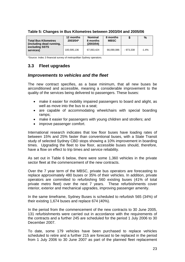| <b>Total Bus Kilometres</b><br>(including dead running,<br>excluding SSTS<br>services) | 12 months<br>2003/04* | <b>Nominal</b><br>8 months<br>(2003/04) | 8 months<br><b>MBSC</b> |           | %       |
|----------------------------------------------------------------------------------------|-----------------------|-----------------------------------------|-------------------------|-----------|---------|
|                                                                                        | 100,595,136           | 67.063.424                              | 66,090,086              | - 973.338 | $-1.4%$ |

#### **Table 5: Changes in Bus Kilometres between 2003/04 and 2005/06**

\*Source: Indec 3 financial survey of metropolitan Sydney operators.

#### **3.3 Fleet upgrades**

#### *Improvements to vehicles and the fleet*

The new contract specifies, as a base minimum, that all new buses be airconditioned and accessible, meaning a considerable improvement to the quality of the services being delivered to passengers. These buses:

- make it easier for mobility impaired passengers to board and alight, as well as move into the bus to a seat;
- are capable of accommodating wheelchairs with special boarding ramps;
- make it easier for passengers with young children and strollers; and
- improve passenger comfort.

International research indicates that low floor buses have loading rates of between 15% and 25% faster than conventional buses, with a State Transit study of selected Sydney CBD stops showing a 10% improvement in boarding times. Upgrading the fleet to low floor, accessible buses should, therefore, have a flow on effect to trip times and service reliability.

As set out in Table 6 below, there were some 1,360 vehicles in the private sector fleet at the commencement of the new contracts.

Over the 7 year term of the MBSC, private bus operators are forecasting to replace approximately 480 buses or 35% of their vehicles. In addition, private operators are committed to refurbishing 560 existing buses (41% of total private metro fleet) over the next 7 years. These refurbishments cover interior, exterior and mechanical upgrades, improving passenger amenity.

In the same timeframe, Sydney Buses is scheduled to refurbish 565 (34%) of their existing 1,674 buses and replace 674 (40%).

In the period from the commencement of the new contracts to 30 June 2005, 131 refurbishments were carried out in accordance with the requirements of the contracts and a further 245 are scheduled for the period 1 July 2006 to 30 December 2007.

To date, some 179 vehicles have been purchased to replace vehicles scheduled to retire and a further 215 are forecast to be replaced in the period from 1 July 2006 to 30 June 2007 as part of the planned fleet replacement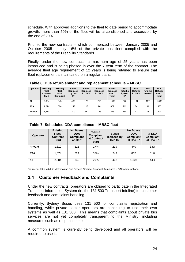schedule. With approved additions to the fleet to date period to accommodate growth, more than 50% of the fleet will be airconditioned and accessible by the end of 2007.

Prior to the new contracts – which commenced between January 2005 and October 2005 – only 16% of the private bus fleet complied with the requirements of the Disability Standards.

Finally, under the new contracts, a maximum age of 25 years has been introduced and is being phased in over the 7 year term of the contract. The average fleet age requirement of 12 years is being retained to ensure that fleet replacement is maintained on a regular basis.

**Table 6: Bus refurbishment and replacement schedule – MBSC** 

| Operator   | <b>Existing</b><br>Fleet:<br>Contract<br><b>Start</b> | <b>Existing</b><br>Fleet:<br><b>DDA</b><br>Compliant | <b>Buses</b><br>Replaced<br>by Dec<br>07 | <b>Buses</b><br>Replaced<br>in 05/06 | <b>Buses</b><br>Replaced<br>in 06/07 | <b>Buses</b><br>Replaced<br>over 7<br>years | <b>Bus</b><br><b>Refurbs</b><br>by Dec<br>07 | <b>Bus</b><br><b>Refurbs</b><br>in 05/06 | <b>Bus</b><br><b>Refurbs</b><br>in 06/07 | <b>Bus</b><br><b>Refurbs</b><br>over 7<br>years |
|------------|-------------------------------------------------------|------------------------------------------------------|------------------------------------------|--------------------------------------|--------------------------------------|---------------------------------------------|----------------------------------------------|------------------------------------------|------------------------------------------|-------------------------------------------------|
| All        | 2.984                                                 | 845                                                  | 462                                      | 179                                  | 215                                  | 1.082                                       | 376                                          | 131                                      | 157                                      | 1,069                                           |
| <b>STA</b> | 1.674                                                 | 624                                                  | 243                                      | 113                                  | 90                                   | 607                                         | 212                                          | 84                                       | 84                                       | 565                                             |
| Private    | 1.310                                                 | 221                                                  | 219                                      | 66                                   | 125                                  | 475                                         | 164                                          | 47                                       | 73                                       | 504                                             |

**Table 7: Scheduled DDA compliance – MBSC fleet** 

| <b>Operator</b> | <b>Existing</b><br>Fleet:<br><b>Contract</b><br><b>Start</b> | <b>No Buses</b><br><b>DDA</b><br><b>Compliant</b><br>at start | $%$ DDA<br><b>Compliant</b><br>at Contract<br><b>Start</b> | <b>Buses</b><br>replaced by<br><b>Dec 07</b> | <b>No Buses</b><br><b>DDA</b><br><b>Compliant</b><br>at Dec 07 | % DDA<br><b>Compliant</b><br>at Dec 07 |
|-----------------|--------------------------------------------------------------|---------------------------------------------------------------|------------------------------------------------------------|----------------------------------------------|----------------------------------------------------------------|----------------------------------------|
| <b>Private</b>  | 1.310                                                        | 221                                                           | 17%                                                        | 219                                          | 440                                                            | 33%                                    |
| <b>STA</b>      | 1.674                                                        | 624                                                           | 37%                                                        | 243                                          | 867                                                            | 51%                                    |
| All             | 2.984                                                        | 845                                                           | 29%                                                        | 462                                          | 1.307                                                          | 44%                                    |

Source for tables 6 & 7: Metropolitan Bus Service Contract Financial Templates – SAHA International.

#### **3.4 Customer Feedback and Complaints**

Under the new contracts, operators are obliged to participate in the Integrated Transport Information System (ie: the 131 500 Transport Infoline) for customer feedback and complaints handling.

Currently, Sydney Buses uses 131 500 for complaints registration and handling, while private sector operators are continuing to use their own systems as well as 131 500. This means that complaints about private bus services are not yet completely transparent to the Ministry, including measures such as response times.

A common system is currently being developed and all operators will be required to use it.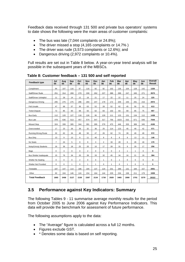Feedback data received through 131 500 and private bus operators' systems to date shows the following were the main areas of customer complaints:

- The bus was late (7,044 complaints or 24.8%);
- The driver missed a stop (4,165 complaints or 14.7%)
- The driver was rude (3,573 complaints or 12.6%); and
- Dangerous driving (2,972 complaints or 10.4%).

Full results are set out in Table 8 below. A year-on-year trend analysis will be possible in the subsequent years of the MBSCs.

| Feedback type                 | Jul<br>05      | Aug<br>05 | <b>Sep</b><br>05 | Oct<br>05 | Nov<br>05      | <b>Dec</b><br>05 | Jan<br>06      | Feb<br>06    | Mar<br>06      | Apr<br>06    | May<br>06    | Jun<br>06   | <b>Overall</b><br><b>Result</b> |
|-------------------------------|----------------|-----------|------------------|-----------|----------------|------------------|----------------|--------------|----------------|--------------|--------------|-------------|---------------------------------|
| Compliment                    | 94             | 107       | 116              | 97        | 116            | 92               | 92             | 102          | 136            | 104          | 128          | 142         | 1326                            |
| Staff/Driver Rude             | 251            | 314       | 269              | 270       | 330            | 262              | 227            | 388          | 399            | 247          | 345          | 271         | 3573                            |
| Staff/Driver Unhelpful        | 11             | 28        | 14               | 12        | 18             | 21               | 17             | 22           | 22             | 11           | 25           | 24          | 225                             |
| Dangerous Driving             | 205            | 275       | 275              | 286       | 284            | 247              | 179            | 172          | 349            | 193          | 291          | 216         | 2972                            |
| Felt Unsafe                   | 47             | 68        | 57               | 36        | 63             | 52               | 28             | 52           | 62             | 45           | 50           | 53          | 613                             |
| <b>Ticket Dispute</b>         | 72             | 85        | 60               | 68        | 63             | 62               | 83             | 102          | 83             | 69           | 85           | 75          | 907                             |
| <b>Bus Early</b>              | 112            | 120       | 127              | 118       | 126            | 95               | 129            | 111          | 123            | 131          | 134          | 112         | 1438                            |
| <b>Bus Late</b>               | 478            | 636       | 513              | 457       | 574            | 547              | 317            | 756          | 1023           | 532          | 671          | 540         | 7044                            |
| <b>Missed Stop</b>            | 324            | 339       | 305              | 344       | 301            | 285              | 279            | 475          | 446            | 333          | 389          | 345         | 4165                            |
| Overcrowded                   | 17             | 23        | 26               | 39        | 32             | 36               | 25             | 114          | 123            | 45           | 49           | 42          | 571                             |
| <b>Running Wrong Route</b>    | 32             | 62        | 34               | 48        | 50             | 47               | 26             | 62           | 74             | 39           | 49           | 49          | 572                             |
| <b>Bus Dirty</b>              | 13             | 9         | 13               | 9         | 11             | 40               | 8              | 6            | 6              | 9            | 13           | 11          | 148                             |
| No Seats                      | $\overline{7}$ | 24        | 5                | 9         | 9              | 3                | $\overline{c}$ | 33           | 28             | 6            | 26           | 18          | 170                             |
| Noisy/Unruly Students         | 16             | 36        | 18               | 25        | 20             | 10               | 17             | 28           | 31             | 9            | 29           | 17          | 256                             |
| Bags                          | $\mathbf{0}$   | 3         | 0                | 0         | $\overline{2}$ | $\mathbf 0$      | 0              | $\mathbf 0$  | $\overline{2}$ | 1            | $\mathbf{1}$ | 0           | 9                               |
| <b>Bus Shelter Inadequate</b> | 15             | 76        | 34               | 20        | 39             | 33               | 32             | 45           | 34             | 16           | 21           | 19          | 384                             |
| Shelter No Seating            | $\mathbf 0$    | $\Omega$  | 0                | 2         | $\mathbf 0$    | $\mathbf 0$      | $\mathbf{1}$   | $\mathbf 0$  | $\mathbf{1}$   | $\mathbf 0$  | $\mathbf 0$  | $\mathbf 0$ | 4                               |
| Shelter Not Provided          | $\Omega$       | $\Omega$  | $\mathbf{1}$     | $\Omega$  | $\mathbf{1}$   | $\mathbf{1}$     | $\Omega$       | $\mathbf{1}$ | $\Omega$       | $\mathbf{1}$ | $\Omega$     | $\mathbf 0$ | 5                               |
| Timetable                     | 107            | 147       | 114              | 186       | 194            | 137              | 124            | 231          | 289            | 131          | 184          | 157         | 2001                            |
| Other                         | 92             | 104       | 146              | 124       | 154            | 164              | 144            | 229          | 234            | 158          | 211          | 179         | 1939                            |
| <b>Total Feedback</b>         | 1893           | 2456      | 2127             | 2150      | 2387           | 2134             | 1730           | 2929         | 3465           | 2080         | 2701         | 2270        | 28322                           |

**Table 8: Customer feedback – 131 500 and self reported** 

#### **3.5 Performance against Key Indicators: Summary**

The following Tables 9 - 11 summarise average monthly results for the period from October 2005 to June 2006 against Key Performance Indicators. This data will provide the benchmark for assessment of future performance.

The following assumptions apply to the data:

- The "Average" figure is calculated across a full 12 months.
- Figures exclude GST.
- \* Denotes some data is based on self reporting.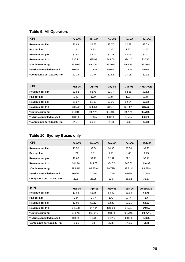# **Table 9: All Operators**

| <b>KPI</b>                  | <b>Oct-05</b> | <b>Nov-05</b> | <b>Dec-05</b> | Jan-06  | Feb-06  |
|-----------------------------|---------------|---------------|---------------|---------|---------|
| Revenue per klm             | \$2.63        | \$2.67        | \$3.07        | \$2.57  | \$2.73  |
| Pax per klm                 | 1.34          | 1.33          | 1.34          | 1.27    | 1.36    |
| Revenue per pax             | \$1.97        | \$2.01        | \$2.29        | \$2.01  | \$2.01  |
| Revenue per trip            | \$36.71       | \$35.94       | \$41.00       | \$34.10 | \$36.10 |
| *On time running            | 99.80%        | 99.70%        | 99.70%        | 99.80%  | 99.60%  |
| *% trips cancelled/missed   | 0.04%         | 0.06%         | 0.02%         | 0.05%   | 0.04%   |
| *Complaints per 100,000 Pax | 21.24         | 21.74         | 20.62         | 17.16   | 29.92   |

| <b>KPI</b>                  | Mar-06  | Apr-06  | $May-06$ | <b>Jun-06</b> | <b>AVERAGE</b> |
|-----------------------------|---------|---------|----------|---------------|----------------|
| Revenue per klm             | \$2.82  | \$2.76  | \$2.77   | \$2.85        | \$2.82         |
| Pax per klm                 | 1.43    | 1.39    | 1.34     | 1.33          | 1.34           |
| Revenue per pax             | \$1.97  | \$1.99  | \$2.06   | \$2.14        | \$2.13         |
| Revenue per trip            | \$37.79 | \$36.54 | \$37.24  | \$37.97       | \$39.02        |
| *On time running            | 99.60%  | 99.70%  | 99.60%   | 99.70%        | 99.70%         |
| *% trips cancelled/missed   | 0.06%   | 0.03%   | 0.03%    | 0.04%         | 0.05%          |
| *Complaints per 100,000 Pax | 28.9    | 20.89   | 24.43    | 23.3          | 23.88          |

# **Table 10: Sydney Buses only**

| <b>KPI</b>                 | <b>Oct-05</b> | <b>Nov-05</b> | <b>Dec-05</b> | Jan-06  | Feb-06  |
|----------------------------|---------------|---------------|---------------|---------|---------|
| Revenue per klm            | \$3.50        | \$3.64        | \$4.30        | \$3.54  | \$3.70  |
| Pax per klm                | 1.71          | 1.71          | 1.71          | 1.68    | 1.75    |
| Revenue per pax            | \$2.05        | \$2.12        | \$2.52        | \$2.11  | \$2.11  |
| Revenue per trip           | \$44.18       | \$45.78       | \$54.72       | \$45.02 | \$46.93 |
| *On time running           | 99.84%        | 99.75%        | 99.72%        | 99.81%  | 99.68%  |
| *% trips cancelled/missed  | 0.05%         | 0.08%         | 0.02%         | 0.04%   | 0.05%   |
| Complaints per 100,000 Pax | 22.6          | 23.25         | 22.9          | 18.92   | 32.37   |

| <b>KPI</b>                 | Mar-06  | Apr-06  | $May-06$ | Jun-06  | <b>AVERAGE</b> |
|----------------------------|---------|---------|----------|---------|----------------|
| Revenue per klm            | \$3.83  | \$3.75  | \$3.80   | \$3.98  | \$3.78         |
| Pax per klm                | 1.84    | 1.77    | 1.73     | 1.77    | 1.7            |
| Revenue per pax            | \$2.09  | \$2.12  | \$2.20   | \$2.25  | \$2.23         |
| Revenue per trip           | \$48.28 | \$47.84 | \$48.03  | \$49.57 | \$49.59        |
| *On time running           | 99.67%  | 99.80%  | 99.80%   | 99.79%  | 99.77%         |
| *% trips cancelled/missed  | 0.09%   | 0.04%   | 0.05%    | 0.06%   | 0.06%          |
| Complaints per 100,000 Pax | 32.36   | 23      | 25.86    | 24.95   | 25.8           |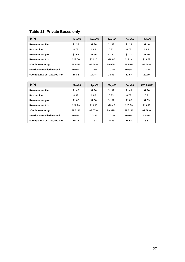# **Table 11: Private Buses only**

| <b>KPI</b>                  | $Oct-05$ | <b>Nov-05</b> | <b>Dec-05</b> | Jan-06  | Feb-06  |
|-----------------------------|----------|---------------|---------------|---------|---------|
| Revenue per klm             | \$1.32   | \$1.36        | \$1.32        | \$1.23  | \$1.40  |
| Pax per klm                 | 0.79     | 0.82          | 0.83          | 0.72    | 0.82    |
| Revenue per pax             | \$1.68   | \$1.66        | \$1.60        | \$1.70  | \$1.70  |
| Revenue per trip            | \$22.00  | \$20.15       | \$18.90       | \$17.44 | \$19.69 |
| *On time running            | 99.60%   | 99.54%        | 99.66%        | 99.86%  | 99.54%  |
| *% trips cancelled/missed   | 0.01%    | 0.04%         | 0.01%         | 0.06%   | 0.01%   |
| *Complaints per 100,000 Pax | 16.86    | 17.44         | 13.91         | 11.57   | 22.79   |

| <b>KPI</b>                  | Mar-06  | Apr-06  | $May-06$ | Jun-06  | <b>AVERAGE</b> |
|-----------------------------|---------|---------|----------|---------|----------------|
| Revenue per klm             | \$1.45  | \$1.36  | \$1.39   | \$1.43  | \$1.36         |
| Pax per klm                 | 0.88    | 0.85    | 0.83     | 0.78    | 0.8            |
| Revenue per pax             | \$1.65  | \$1.60  | \$1.67   | \$1.82  | \$1.69         |
| Revenue per trip            | \$21.29 | \$18.96 | \$20.45  | \$20.89 | \$19.66        |
| *On time running            | 99.51%  | 99.67%  | 99.37%   | 99.51%  | 99.59%         |
| *% trips cancelled/missed   | 0.02%   | 0.01%   | 0.01%    | 0.01%   | 0.02%          |
| *Complaints per 100,000 Pax | 19.13   | 14.63   | 20.46    | 18.61   | 16.81          |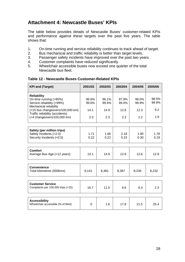# **Attachment 4: Newcastle Buses' KPIs**

The table below provides details of Newcastle Buses' customer-related KPIs and performance against these targets over the past five years. The table shows that:

- 1. On-time running and service reliability continues to track ahead of target.
- 2. Bus mechanical and traffic reliability is better than target levels.
- 3. Passenger safety incidents have improved over the past two years.
- 4. Customer complaints have reduced significantly.
- 5. Wheelchair accessible buses now exceed one quarter of the total Newcastle bus fleet.

| <b>KPI and (Target)</b>                                                                              | 2001/02        | 2002/03        | 2003/04        | 2004/05        | 2005/06        |
|------------------------------------------------------------------------------------------------------|----------------|----------------|----------------|----------------|----------------|
| <b>Reliability</b><br>On-time running (>95%)<br>Service reliability (>99%)<br>Mechanical reliability | 96.6%<br>99.6% | 96.1%<br>99.4% | 97.9%<br>99.4% | 98.0%<br>99.9% | 98.5%<br>99.9% |
| (<15 bus changeovers/100,000 km)<br>Traffic reliability (accidents)<br>(<4 changeovers/100,000 km)   | 14.1<br>2.3    | 14.9<br>2.3    | 12.6<br>2.3    | 12.3<br>2.2    | 9.2<br>1.9     |
|                                                                                                      |                |                |                |                |                |
| Safety (per million trips)<br>Safety Incidents (<2.0)<br>Security Incidents (<0.5)                   | 1.71<br>0.22   | 1.66<br>0.22   | 2.18<br>0.23   | 1.90<br>0.30   | 1.78<br>0.19   |
|                                                                                                      |                |                |                |                |                |
| <b>Comfort</b><br>Average Bus Age (<12 years)                                                        | 14.1           | 14.9           | 12.6           | 12.6           | 12.8           |
|                                                                                                      |                |                |                |                |                |
| <b>Convenience</b><br>Total kilometres (000kms)                                                      | 9,141          | 8,381          | 8,367          | 8,236          | 8,232          |
|                                                                                                      |                |                |                |                |                |
| <b>Customer Service</b><br>Complaints per 100,000 trips (<15)                                        | 16.7           | 11.5           | 6.6            | 6.4            | 2.3            |
|                                                                                                      |                |                |                |                |                |
| <b>Accessibility</b><br>Wheelchair accessible (% of fleet)                                           | $\Omega$       | 1.6            | 17.8           | 21.5           | 25.4           |

#### **Table 12 - Newcastle Buses Customer-Related KPIs**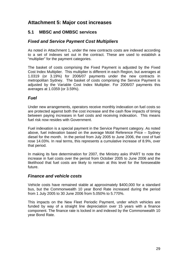# **Attachment 5: Major cost increases**

#### **5.1 MBSC and OMBSC services**

#### *Fixed and Service Payment Cost Multipliers*

As noted in Attachment 1, under the new contracts costs are indexed according to a set of indexes set out in the contract. These are used to establish a "multiplier" for the payment categories.

The basket of costs comprising the Fixed Payment is adjusted by the Fixed Cost Index Multiplier. This multiplier is different in each Region, but averages at 1.0319 (or 3.19%) for 2006/07 payments under the new contracts in metropolitan Sydney. The basket of costs comprising the Service Payment is adjusted by the Variable Cost Index Multiplier. For 2006/07 payments this averages at 1.0359 (or 3.59%).

#### *Fuel*

Under new arrangements, operators receive monthly indexation on fuel costs so are protected against both the cost increase and the cash flow impacts of timing between paying increases in fuel costs and receiving indexation. This means fuel risk now resides with Government.

Fuel indexation is a special payment in the Service Payment category. As noted above, fuel indexation based on the average Mobil Reference Price – Sydney diesel for the month. In the period from July 2005 to June 2006, the cost of fuel rose 14.03%. In real terms, this represents a cumulative increase of 8.9%, over that period.

In making its fare determination for 2007, the Ministry asks IPART to note the increase in fuel costs over the period from October 2005 to June 2006 and the likelihood that fuel costs are likely to remain at this level for the foreseeable future.

#### *Finance and vehicle costs*

Vehicle costs have remained stable at approximately \$400,000 for a standard bus, but the Commonwealth 10 year Bond Rate increased during the period from 1 July 2005 to 30 June 2006 from 5.050% to 5.770%.

This impacts on the New Fleet Periodic Payment, under which vehicles are funded by way of a straight line depreciation over 15 years with a finance component. The finance rate is locked in and indexed by the Commonwealth 10 year Bond Rate.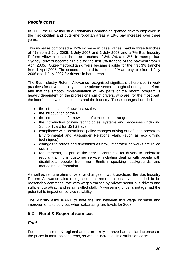#### *People costs*

In 2005, the NSW Industrial Relations Commission granted drivers employed in the metropolitan and outer-metropolitan areas a 19% pay increase over three years.

This increase comprised a 12% increase in base wages, paid in three tranches of 4% from 1 July 2005, 1 July 2007 and 1 July 2008 and a 7% Bus Industry Reform Allowance paid in three tranches of 3%, 2% and 2%. In metropolitan Sydney, drivers became eligible for the first 3% tranche of the payment from 1 April 2005. Outer-metropolitan drivers became eligible for the first 3% tranche from 1 April 2006. The second and third tranches of 2% are payable from 1 July 2006 and 1 July 2007 for drivers in both areas.

The Bus Industry Reform Allowance recognised significant differences in work practices for drivers employed in the private sector, brought about by bus reform and that the smooth implementation of key parts of the reform program is heavily dependent on the professionalism of drivers, who are, for the most part, the interface between customers and the industry. These changes included:

- the introduction of new fare scales;
- the introduction of the PET:
- the introduction of a new suite of concession arrangements:
- the introduction of new technologies, systems and processes (including School Tcard for SSTS travel;
- compliance with operational policy changes arising out of each operator's Environmental and Passenger Relations Plans (such as eco driving techniques);
- changes to routes and timetables as new, integrated networks are rolled out; and
- requirements, as part of the service contracts, for drivers to undertake regular training in customer service, including dealing with people with disabilities, people from non English speaking backgrounds and managing confrontation.

As well as remunerating drivers for changes in work practices, the Bus Industry Reform Allowance also recognised that remunerations levels needed to be reasonably commensurate with wages earned by private sector bus drivers and sufficient to attract and retain skilled staff. A worsening driver shortage had the potential to impact on service reliability.

The Ministry asks IPART to note the link between this wage increase and improvements to services when calculating fare levels for 2007.

#### **5.2 Rural & Regional services**

#### *Fuel*

Fuel prices in rural & regional areas are likely to have had similar increases to the prices in metropolitan areas, as well as increases in distribution costs.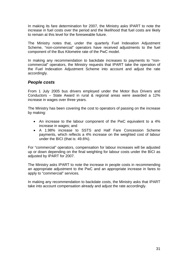In making its fare determination for 2007, the Ministry asks IPART to note the increase in fuel costs over the period and the likelihood that fuel costs are likely to remain at this level for the foreseeable future.

The Ministry notes that, under the quarterly Fuel Indexation Adjustment Scheme, "non-commercial" operators have received adjustments to the fuel component of the Bus Kilometre rate of the PwC model.

In making any recommendation to backdate increases to payments to "noncommercial" operators, the Ministry requests that IPART take the operation of the Fuel Indexation Adjustment Scheme into account and adjust the rate accordingly.

#### *People costs*

From 1 July 2005 bus drivers employed under the Motor Bus Drivers and Conductors – State Award in rural & regional areas were awarded a 12% increase in wages over three years.

The Ministry has been covering the cost to operators of passing on the increase by making:

- An increase to the labour component of the PwC equivalent to a 4% increase in wages; and
- A 1.98% increase to SSTS and Half Fare Concession Scheme payments, which reflects a 4% increase on the weighted cost of labour under the BICI (that is: 49.6%).

For "commercial" operators, compensation for labour increases will be adjusted up or down depending on the final weighting for labour costs under the BICI as adjusted by IPART for 2007.

The Ministry asks IPART to note the increase in people costs in recommending an appropriate adjustment to the PwC and an appropriate increase in fares to apply to "commercial" services.

In making any recommendation to backdate costs, the Ministry asks that IPART take into account compensation already and adjust the rate accordingly.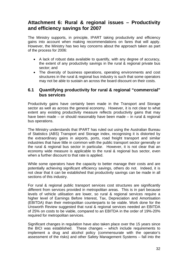# **Attachment 6: Rural & regional issues – Productivity and efficiency savings for 2007**

The Ministry supports, in principle, IPART taking productivity and efficiency gains into account when making recommendations on fares that will apply. However, the Ministry has two key concerns about the approach taken as part of the process for 2006:

- A lack of robust data available to quantify, with any degree of accuracy, the extent of any productivity savings in the rural & regional private bus sector; and
- The diversity of business operations, operating environments and cost structures in the rural & regional bus industry is such that some operators may not be able to sustain an across the board discount on their costs.

#### **6.1 Quantifying productivity for rural & regional "commercial" bus services**

Productivity gains have certainly been made in the Transport and Storage sector as well as across the general economy. However, it is not clear to what extent any existing productivity measure reflects productivity gains that may have been made – or should reasonably have been made – in rural & regional bus operations.

The Ministry understands that IPART has ruled out using the Australian Bureau of Statistics (ABS) Transport and Storage index, recognising it is distorted by the extraordinary gains in airports, ports, road freight transport and similar industries that have little in common with the public transport sector generally or the rural & regional bus sector in particular. However, it is not clear that an economy wide measure is applicable to the rural & regional bus sector, even when a further discount to that rate is applied.

While some operators have the capacity to better manage their costs and are potentially achieving significant efficiency savings, others do not. Indeed, it is not clear that it can be established that productivity savings can be made in all sections of this industry.

For rural & regional public transport services cost structures are significantly different from services provided in metropolitan areas. This is in part because levels of vehicle utilisation are lower, so rural & regional services require a higher level of Earnings Before Interest, Tax, Depreciation and Amortisation (EBITDA) than their metropolitan counterparts to be viable. Work done for the Unsworth Review suggested that rural & regional services needed an EBITDA of 25% on costs to be viable, compared to an EBITDA in the order of 19%-20% required for metropolitan services.

Significant changes in regulation have also taken place over the 15 years since the BICI was established. These changes – which include requirements to implement a drug and alcohol policy (commensurate with the operator's assessment of the risks) and other Safety Management Systems – fall into the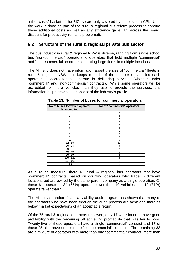"other costs" basket of the BICI so are only covered by increases in CPI. Until the work is done as part of the rural & regional bus reform process to capture these additional costs as well as any efficiency gains, an 'across the board' discount for productivity remains problematic.

#### **6.2 Structure of the rural & regional private bus sector**

The bus industry in rural & regional NSW is diverse, ranging from single school bus "non-commercial" operators to operators that hold multiple "commercial" and "non-commercial" contracts operating large fleets in multiple locations.

The Ministry does not have information about the size of "commercial" fleets in rural & regional NSW, but keeps records of the number of vehicles each operator is accredited to operate in delivering services (whether under "commercial" and "non-commercial" contracts). While some operators will be accredited for more vehicles than they use to provide the services, this information helps provide a snapshot of the industry's profile.

| No of buses for which operator<br>is accredited | No of "commercial" operators |
|-------------------------------------------------|------------------------------|
|                                                 | 3                            |
| 2                                               | 4                            |
| 3                                               | 2                            |
| 4                                               | 5                            |
| 5                                               | 5                            |
| 6                                               | 3                            |
|                                                 |                              |
| 8                                               | 3                            |
| 9                                               | 3                            |
| 10                                              | 5                            |
| $12 - 18$                                       | 12                           |
| $20 - 28$                                       | 9                            |
| $30 - 37$                                       |                              |
| $40 - 49$                                       | 5                            |
| $50 - 60$                                       | 4                            |
| $100 - 120$                                     | 3                            |
| $190 - 200$                                     |                              |
| 350                                             |                              |

**Table 13: Number of buses for commercial operators** 

As a rough measure, there 61 rural & regional bus operators that have "commercial" contracts, based on counting operators who trade in different locations but are owned by the same parent company as a single operation. Of these 61 operators, 34 (55%) operate fewer than 10 vehicles and 19 (31%) operate fewer than 5.

The Ministry's random financial viability audit program has shown that many of the operators who have been through the audit process are achieving margins below market expectations of an acceptable return.

Of the 75 rural & regional operators reviewed, only 17 were found to have good profitability with the remaining 58 achieving profitability that was fair to poor. Twenty-five of those operators have a single "commercial" contract and 17 of those 25 also have one or more "non-commercial" contracts. The remaining 33 are a mixture of operators with more than one "commercial" contract, more than